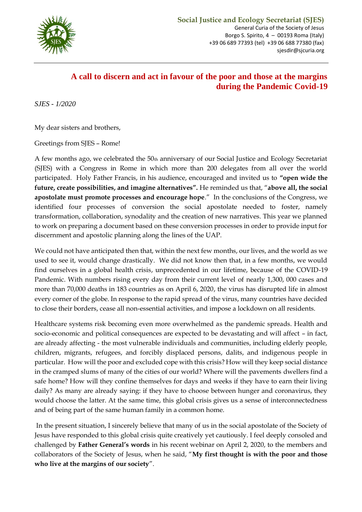

## **A call to discern and act in favour of the poor and those at the margins during the Pandemic Covid-19**

*SJES - 1/2020*

My dear sisters and brothers,

Greetings from SJES – Rome!

A few months ago, we celebrated the 50th anniversary of our Social Justice and Ecology Secretariat (SJES) with a Congress in Rome in which more than 200 delegates from all over the world participated. Holy Father Francis, in his audience, encouraged and invited us to **"open wide the future, create possibilities, and imagine alternatives".** He reminded us that, "**above all, the social apostolate must promote processes and encourage hope**." In the conclusions of the Congress, we identified four processes of conversion the social apostolate needed to foster, namely transformation, collaboration, synodality and the creation of new narratives. This year we planned to work on preparing a document based on these conversion processes in order to provide input for discernment and apostolic planning along the lines of the UAP.

We could not have anticipated then that, within the next few months, our lives, and the world as we used to see it, would change drastically. We did not know then that, in a few months, we would find ourselves in a global health crisis, unprecedented in our lifetime, because of the COVID-19 Pandemic. With numbers rising every day from their current level of nearly 1,300, 000 cases and more than 70,000 deaths in 183 countries as on April 6, 2020, the virus has disrupted life in almost every corner of the globe. In response to the rapid spread of the virus, many countries have decided to close their borders, cease all non-essential activities, and impose a lockdown on all residents.

Healthcare systems risk becoming even more overwhelmed as the pandemic spreads. Health and socio-economic and political consequences are expected to be devastating and will affect – in fact, are already affecting - the most vulnerable individuals and communities, including elderly people, children, migrants, refugees, and forcibly displaced persons, dalits, and indigenous people in particular. How will the poor and excluded cope with this crisis? How will they keep social distance in the cramped slums of many of the cities of our world? Where will the pavements dwellers find a safe home? How will they confine themselves for days and weeks if they have to earn their living daily? As many are already saying: if they have to choose between hunger and coronavirus, they would choose the latter. At the same time, this global crisis gives us a sense of interconnectedness and of being part of the same human family in a common home.

In the present situation, I sincerely believe that many of us in the social apostolate of the Society of Jesus have responded to this global crisis quite creatively yet cautiously. I feel deeply consoled and challenged by **Father General's words** in his recent webinar on April 2, 2020, to the members and collaborators of the Society of Jesus, when he said, "**My first thought is with the poor and those who live at the margins of our society**".